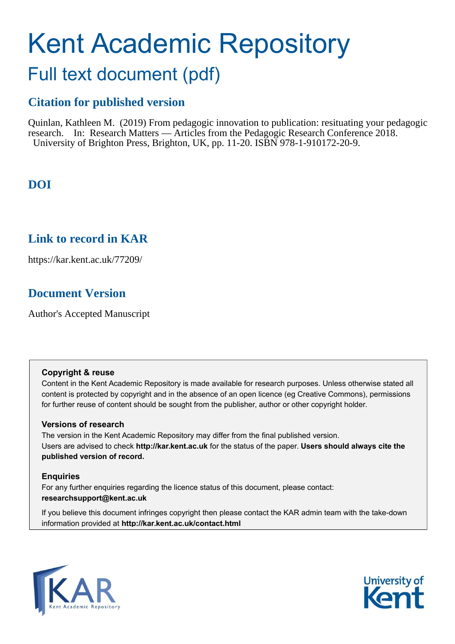# Kent Academic Repository Full text document (pdf)

# **Citation for published version**

Quinlan, Kathleen M. (2019) From pedagogic innovation to publication: resituating your pedagogic research. In: Research Matters — Articles from the Pedagogic Research Conference 2018. University of Brighton Press, Brighton, UK, pp. 11-20. ISBN 978-1-910172-20-9.

## **DOI**

## **Link to record in KAR**

https://kar.kent.ac.uk/77209/

## **Document Version**

Author's Accepted Manuscript

#### **Copyright & reuse**

Content in the Kent Academic Repository is made available for research purposes. Unless otherwise stated all content is protected by copyright and in the absence of an open licence (eg Creative Commons), permissions for further reuse of content should be sought from the publisher, author or other copyright holder.

#### **Versions of research**

The version in the Kent Academic Repository may differ from the final published version. Users are advised to check **http://kar.kent.ac.uk** for the status of the paper. **Users should always cite the published version of record.**

## **Enquiries**

For any further enquiries regarding the licence status of this document, please contact: **researchsupport@kent.ac.uk**

If you believe this document infringes copyright then please contact the KAR admin team with the take-down information provided at **http://kar.kent.ac.uk/contact.html**



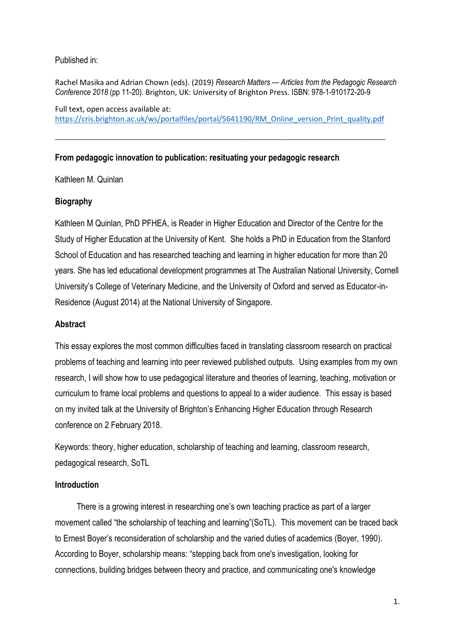#### Published in:

Rachel Masika and Adrian Chown (eds). (2019) *Research Matters — Articles from the Pedagogic Research Conference 2018* (pp 11-20)*.* Brighton, UK: University of Brighton Press. ISBN: 978-1-910172-20-9

Full text, open access available at: [https://cris.brighton.ac.uk/ws/portalfiles/portal/5641190/RM\\_Online\\_version\\_Print\\_quality.pdf](https://cris.brighton.ac.uk/ws/portalfiles/portal/5641190/RM_Online_version_Print_quality.pdf)

\_\_\_\_\_\_\_\_\_\_\_\_\_\_\_\_\_\_\_\_\_\_\_\_\_\_\_\_\_\_\_\_\_\_\_\_\_\_\_\_\_\_\_\_\_\_\_\_\_\_\_\_\_\_\_\_\_\_\_\_\_\_\_\_\_\_\_\_\_\_\_\_\_\_\_\_\_\_\_

#### **From pedagogic innovation to publication: resituating your pedagogic research**

Kathleen M. Quinlan

## **Biography**

Kathleen M Quinlan, PhD PFHEA, is Reader in Higher Education and Director of the Centre for the Study of Higher Education at the University of Kent. She holds a PhD in Education from the Stanford School of Education and has researched teaching and learning in higher education for more than 20 years. She has led educational development programmes at The Australian National University, Cornell University's College of Veterinary Medicine, and the University of Oxford and served as Educator-in-Residence (August 2014) at the National University of Singapore.

#### **Abstract**

This essay explores the most common difficulties faced in translating classroom research on practical problems of teaching and learning into peer reviewed published outputs. Using examples from my own research, I will show how to use pedagogical literature and theories of learning, teaching, motivation or curriculum to frame local problems and questions to appeal to a wider audience. This essay is based on my invited talk at the University of Brighton's Enhancing Higher Education through Research conference on 2 February 2018.

Keywords: theory, higher education, scholarship of teaching and learning, classroom research, pedagogical research, SoTL

#### **Introduction**

There is a growing interest in researching one's own teaching practice as part of a larger movement called "the scholarship of teaching and learning"(SoTL). This movement can be traced back to Ernest Boyer's reconsideration of scholarship and the varied duties of academics (Boyer, 1990). According to Boyer, scholarship means: "stepping back from one's investigation, looking for connections, building bridges between theory and practice, and communicating one's knowledge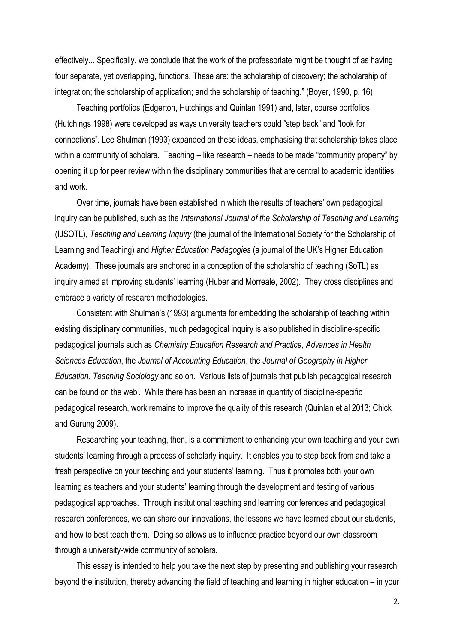effectively... Specifically, we conclude that the work of the professoriate might be thought of as having four separate, yet overlapping, functions. These are: the scholarship of discovery; the scholarship of integration; the scholarship of application; and the scholarship of teaching." (Boyer, 1990, p. 16)

Teaching portfolios (Edgerton, Hutchings and Quinlan 1991) and, later, course portfolios (Hutchings 1998) were developed as ways university teachers could "step back" and "look for connections". Lee Shulman (1993) expanded on these ideas, emphasising that scholarship takes place within a community of scholars. Teaching – like research – needs to be made "community property" by opening it up for peer review within the disciplinary communities that are central to academic identities and work.

Over time, journals have been established in which the results of teachers' own pedagogical inquiry can be published, such as the *International Journal of the Scholarship of Teaching and Learning* (IJSOTL), *Teaching and Learning Inquiry* (the journal of the International Society for the Scholarship of Learning and Teaching) and *Higher Education Pedagogies* (a journal of the UK's Higher Education Academy). These journals are anchored in a conception of the scholarship of teaching (SoTL) as inquiry aimed at improving students' learning (Huber and Morreale, 2002). They cross disciplines and embrace a variety of research methodologies.

Consistent with Shulman's (1993) arguments for embedding the scholarship of teaching within existing disciplinary communities, much pedagogical inquiry is also published in discipline-specific pedagogical journals such as *Chemistry Education Research and Practice*, *Advances in Health Sciences Education*, the *Journal of Accounting Education*, the *Journal of Geography in Higher Education*, *Teaching Sociology* and so on. Various lists of journals that publish pedagogical research can be found on the web<sup>i</sup> . While there has been an increase in quantity of discipline-specific pedagogical research, work remains to improve the quality of this research (Quinlan et al 2013; Chick and Gurung 2009).

Researching your teaching, then, is a commitment to enhancing your own teaching and your own students' learning through a process of scholarly inquiry. It enables you to step back from and take a fresh perspective on your teaching and your students' learning. Thus it promotes both your own learning as teachers and your students' learning through the development and testing of various pedagogical approaches. Through institutional teaching and learning conferences and pedagogical research conferences, we can share our innovations, the lessons we have learned about our students, and how to best teach them. Doing so allows us to influence practice beyond our own classroom through a university-wide community of scholars.

This essay is intended to help you take the next step by presenting and publishing your research beyond the institution, thereby advancing the field of teaching and learning in higher education – in your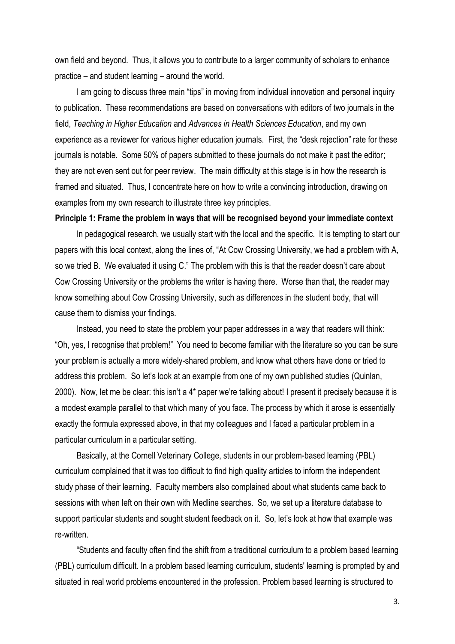own field and beyond. Thus, it allows you to contribute to a larger community of scholars to enhance practice – and student learning – around the world.

I am going to discuss three main "tips" in moving from individual innovation and personal inquiry to publication. These recommendations are based on conversations with editors of two journals in the field, *Teaching in Higher Education* and *Advances in Health Sciences Education*, and my own experience as a reviewer for various higher education journals. First, the "desk rejection" rate for these journals is notable. Some 50% of papers submitted to these journals do not make it past the editor; they are not even sent out for peer review. The main difficulty at this stage is in how the research is framed and situated. Thus, I concentrate here on how to write a convincing introduction, drawing on examples from my own research to illustrate three key principles.

#### **Principle 1: Frame the problem in ways that will be recognised beyond your immediate context**

In pedagogical research, we usually start with the local and the specific. It is tempting to start our papers with this local context, along the lines of, "At Cow Crossing University, we had a problem with A, so we tried B. We evaluated it using C." The problem with this is that the reader doesn't care about Cow Crossing University or the problems the writer is having there. Worse than that, the reader may know something about Cow Crossing University, such as differences in the student body, that will cause them to dismiss your findings.

Instead, you need to state the problem your paper addresses in a way that readers will think: "Oh, yes, I recognise that problem!" You need to become familiar with the literature so you can be sure your problem is actually a more widely-shared problem, and know what others have done or tried to address this problem. So let's look at an example from one of my own published studies (Quinlan, 2000). Now, let me be clear: this isn't a 4\* paper we're talking about! I present it precisely because it is a modest example parallel to that which many of you face. The process by which it arose is essentially exactly the formula expressed above, in that my colleagues and I faced a particular problem in a particular curriculum in a particular setting.

Basically, at the Cornell Veterinary College, students in our problem-based learning (PBL) curriculum complained that it was too difficult to find high quality articles to inform the independent study phase of their learning. Faculty members also complained about what students came back to sessions with when left on their own with Medline searches. So, we set up a literature database to support particular students and sought student feedback on it. So, let's look at how that example was re-written.

"Students and faculty often find the shift from a traditional curriculum to a problem based learning (PBL) curriculum difficult. In a problem based learning curriculum, students' learning is prompted by and situated in real world problems encountered in the profession. Problem based learning is structured to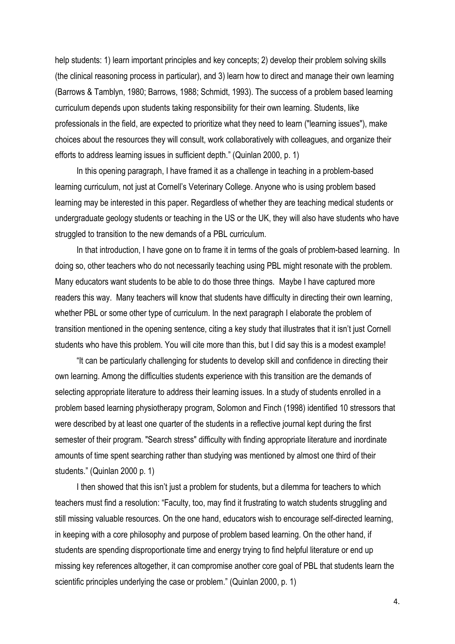help students: 1) learn important principles and key concepts; 2) develop their problem solving skills (the clinical reasoning process in particular), and 3) learn how to direct and manage their own learning (Barrows & Tamblyn, 1980; Barrows, 1988; Schmidt, 1993). The success of a problem based learning curriculum depends upon students taking responsibility for their own learning. Students, like professionals in the field, are expected to prioritize what they need to learn ("learning issues"), make choices about the resources they will consult, work collaboratively with colleagues, and organize their efforts to address learning issues in sufficient depth." (Quinlan 2000, p. 1)

In this opening paragraph, I have framed it as a challenge in teaching in a problem-based learning curriculum, not just at Cornell's Veterinary College. Anyone who is using problem based learning may be interested in this paper. Regardless of whether they are teaching medical students or undergraduate geology students or teaching in the US or the UK, they will also have students who have struggled to transition to the new demands of a PBL curriculum.

In that introduction, I have gone on to frame it in terms of the goals of problem-based learning. In doing so, other teachers who do not necessarily teaching using PBL might resonate with the problem. Many educators want students to be able to do those three things. Maybe I have captured more readers this way. Many teachers will know that students have difficulty in directing their own learning, whether PBL or some other type of curriculum. In the next paragraph I elaborate the problem of transition mentioned in the opening sentence, citing a key study that illustrates that it isn't just Cornell students who have this problem. You will cite more than this, but I did say this is a modest example!

"It can be particularly challenging for students to develop skill and confidence in directing their own learning. Among the difficulties students experience with this transition are the demands of selecting appropriate literature to address their learning issues. In a study of students enrolled in a problem based learning physiotherapy program, Solomon and Finch (1998) identified 10 stressors that were described by at least one quarter of the students in a reflective journal kept during the first semester of their program. "Search stress" difficulty with finding appropriate literature and inordinate amounts of time spent searching rather than studying was mentioned by almost one third of their students." (Quinlan 2000 p. 1)

I then showed that this isn't just a problem for students, but a dilemma for teachers to which teachers must find a resolution: "Faculty, too, may find it frustrating to watch students struggling and still missing valuable resources. On the one hand, educators wish to encourage self-directed learning, in keeping with a core philosophy and purpose of problem based learning. On the other hand, if students are spending disproportionate time and energy trying to find helpful literature or end up missing key references altogether, it can compromise another core goal of PBL that students learn the scientific principles underlying the case or problem." (Quinlan 2000, p. 1)

4.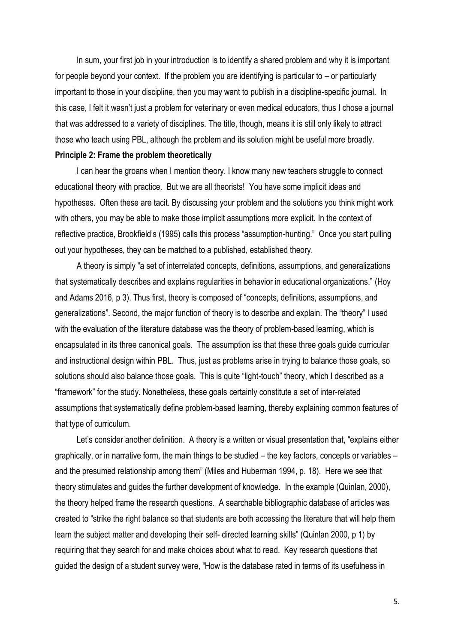In sum, your first job in your introduction is to identify a shared problem and why it is important for people beyond your context. If the problem you are identifying is particular to – or particularly important to those in your discipline, then you may want to publish in a discipline-specific journal. In this case, I felt it wasn't just a problem for veterinary or even medical educators, thus I chose a journal that was addressed to a variety of disciplines. The title, though, means it is still only likely to attract those who teach using PBL, although the problem and its solution might be useful more broadly.

#### **Principle 2: Frame the problem theoretically**

I can hear the groans when I mention theory. I know many new teachers struggle to connect educational theory with practice. But we are all theorists! You have some implicit ideas and hypotheses. Often these are tacit. By discussing your problem and the solutions you think might work with others, you may be able to make those implicit assumptions more explicit. In the context of reflective practice, Brookfield's (1995) calls this process "assumption-hunting." Once you start pulling out your hypotheses, they can be matched to a published, established theory.

A theory is simply "a set of interrelated concepts, definitions, assumptions, and generalizations that systematically describes and explains regularities in behavior in educational organizations." (Hoy and Adams 2016, p 3). Thus first, theory is composed of "concepts, definitions, assumptions, and generalizations". Second, the major function of theory is to describe and explain. The "theory" I used with the evaluation of the literature database was the theory of problem-based learning, which is encapsulated in its three canonical goals. The assumption iss that these three goals guide curricular and instructional design within PBL. Thus, just as problems arise in trying to balance those goals, so solutions should also balance those goals. This is quite "light-touch" theory, which I described as a "framework" for the study. Nonetheless, these goals certainly constitute a set of inter-related assumptions that systematically define problem-based learning, thereby explaining common features of that type of curriculum.

Let's consider another definition. A theory is a written or visual presentation that, "explains either graphically, or in narrative form, the main things to be studied – the key factors, concepts or variables – and the presumed relationship among them" (Miles and Huberman 1994, p. 18). Here we see that theory stimulates and guides the further development of knowledge. In the example (Quinlan, 2000), the theory helped frame the research questions. A searchable bibliographic database of articles was created to "strike the right balance so that students are both accessing the literature that will help them learn the subject matter and developing their self- directed learning skills" (Quinlan 2000, p 1) by requiring that they search for and make choices about what to read. Key research questions that guided the design of a student survey were, "How is the database rated in terms of its usefulness in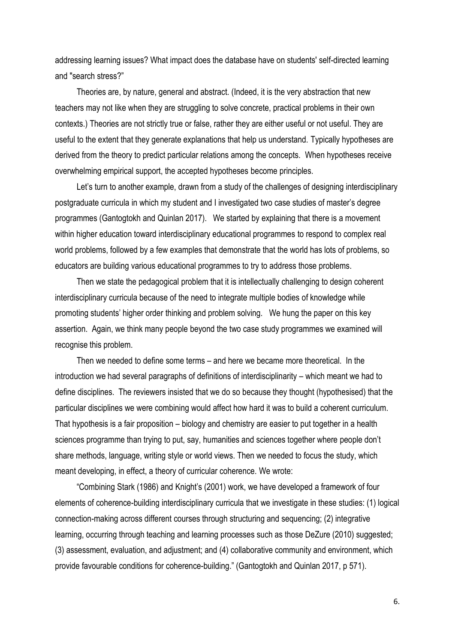addressing learning issues? What impact does the database have on students' self-directed learning and "search stress?"

Theories are, by nature, general and abstract. (Indeed, it is the very abstraction that new teachers may not like when they are struggling to solve concrete, practical problems in their own contexts.) Theories are not strictly true or false, rather they are either useful or not useful. They are useful to the extent that they generate explanations that help us understand. Typically hypotheses are derived from the theory to predict particular relations among the concepts. When hypotheses receive overwhelming empirical support, the accepted hypotheses become principles.

Let's turn to another example, drawn from a study of the challenges of designing interdisciplinary postgraduate curricula in which my student and I investigated two case studies of master's degree programmes (Gantogtokh and Quinlan 2017). We started by explaining that there is a movement within higher education toward interdisciplinary educational programmes to respond to complex real world problems, followed by a few examples that demonstrate that the world has lots of problems, so educators are building various educational programmes to try to address those problems.

Then we state the pedagogical problem that it is intellectually challenging to design coherent interdisciplinary curricula because of the need to integrate multiple bodies of knowledge while promoting students' higher order thinking and problem solving. We hung the paper on this key assertion. Again, we think many people beyond the two case study programmes we examined will recognise this problem.

Then we needed to define some terms – and here we became more theoretical. In the introduction we had several paragraphs of definitions of interdisciplinarity – which meant we had to define disciplines. The reviewers insisted that we do so because they thought (hypothesised) that the particular disciplines we were combining would affect how hard it was to build a coherent curriculum. That hypothesis is a fair proposition – biology and chemistry are easier to put together in a health sciences programme than trying to put, say, humanities and sciences together where people don't share methods, language, writing style or world views. Then we needed to focus the study, which meant developing, in effect, a theory of curricular coherence. We wrote:

"Combining Stark (1986) and Knight's (2001) work, we have developed a framework of four elements of coherence-building interdisciplinary curricula that we investigate in these studies: (1) logical connection-making across different courses through structuring and sequencing; (2) integrative learning, occurring through teaching and learning processes such as those DeZure (2010) suggested; (3) assessment, evaluation, and adjustment; and (4) collaborative community and environment, which provide favourable conditions for coherence-building." (Gantogtokh and Quinlan 2017, p 571).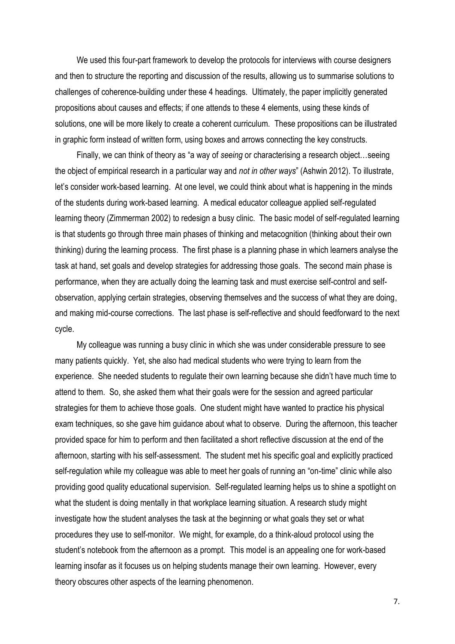We used this four-part framework to develop the protocols for interviews with course designers and then to structure the reporting and discussion of the results, allowing us to summarise solutions to challenges of coherence-building under these 4 headings. Ultimately, the paper implicitly generated propositions about causes and effects; if one attends to these 4 elements, using these kinds of solutions, one will be more likely to create a coherent curriculum. These propositions can be illustrated in graphic form instead of written form, using boxes and arrows connecting the key constructs.

Finally, we can think of theory as "a way of *seeing* or characterising a research object…seeing the object of empirical research in a particular way and *not in other ways*" (Ashwin 2012). To illustrate, let's consider work-based learning. At one level, we could think about what is happening in the minds of the students during work-based learning. A medical educator colleague applied self-regulated learning theory (Zimmerman 2002) to redesign a busy clinic. The basic model of self-regulated learning is that students go through three main phases of thinking and metacognition (thinking about their own thinking) during the learning process. The first phase is a planning phase in which learners analyse the task at hand, set goals and develop strategies for addressing those goals. The second main phase is performance, when they are actually doing the learning task and must exercise self-control and selfobservation, applying certain strategies, observing themselves and the success of what they are doing, and making mid-course corrections. The last phase is self-reflective and should feedforward to the next cycle.

My colleague was running a busy clinic in which she was under considerable pressure to see many patients quickly. Yet, she also had medical students who were trying to learn from the experience. She needed students to regulate their own learning because she didn't have much time to attend to them. So, she asked them what their goals were for the session and agreed particular strategies for them to achieve those goals. One student might have wanted to practice his physical exam techniques, so she gave him guidance about what to observe. During the afternoon, this teacher provided space for him to perform and then facilitated a short reflective discussion at the end of the afternoon, starting with his self-assessment. The student met his specific goal and explicitly practiced self-regulation while my colleague was able to meet her goals of running an "on-time" clinic while also providing good quality educational supervision. Self-regulated learning helps us to shine a spotlight on what the student is doing mentally in that workplace learning situation. A research study might investigate how the student analyses the task at the beginning or what goals they set or what procedures they use to self-monitor. We might, for example, do a think-aloud protocol using the student's notebook from the afternoon as a prompt. This model is an appealing one for work-based learning insofar as it focuses us on helping students manage their own learning. However, every theory obscures other aspects of the learning phenomenon.

7.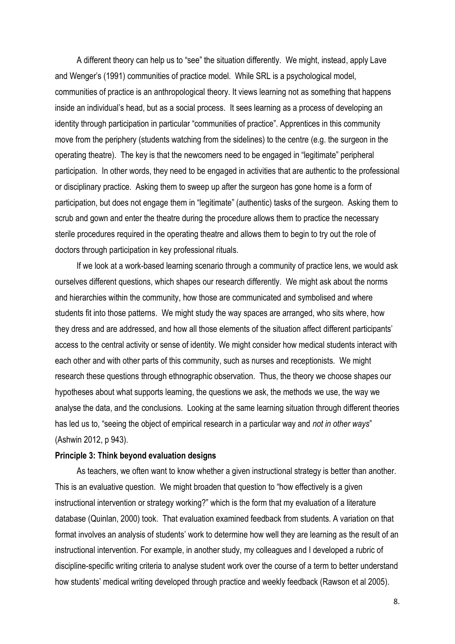A different theory can help us to "see" the situation differently. We might, instead, apply Lave and Wenger's (1991) communities of practice model. While SRL is a psychological model, communities of practice is an anthropological theory. It views learning not as something that happens inside an individual's head, but as a social process. It sees learning as a process of developing an identity through participation in particular "communities of practice". Apprentices in this community move from the periphery (students watching from the sidelines) to the centre (e.g. the surgeon in the operating theatre). The key is that the newcomers need to be engaged in "legitimate" peripheral participation. In other words, they need to be engaged in activities that are authentic to the professional or disciplinary practice. Asking them to sweep up after the surgeon has gone home is a form of participation, but does not engage them in "legitimate" (authentic) tasks of the surgeon. Asking them to scrub and gown and enter the theatre during the procedure allows them to practice the necessary sterile procedures required in the operating theatre and allows them to begin to try out the role of doctors through participation in key professional rituals.

If we look at a work-based learning scenario through a community of practice lens, we would ask ourselves different questions, which shapes our research differently. We might ask about the norms and hierarchies within the community, how those are communicated and symbolised and where students fit into those patterns. We might study the way spaces are arranged, who sits where, how they dress and are addressed, and how all those elements of the situation affect different participants' access to the central activity or sense of identity. We might consider how medical students interact with each other and with other parts of this community, such as nurses and receptionists. We might research these questions through ethnographic observation. Thus, the theory we choose shapes our hypotheses about what supports learning, the questions we ask, the methods we use, the way we analyse the data, and the conclusions. Looking at the same learning situation through different theories has led us to, "seeing the object of empirical research in a particular way and *not in other ways*" (Ashwin 2012, p 943).

#### **Principle 3: Think beyond evaluation designs**

As teachers, we often want to know whether a given instructional strategy is better than another. This is an evaluative question. We might broaden that question to "how effectively is a given instructional intervention or strategy working?" which is the form that my evaluation of a literature database (Quinlan, 2000) took. That evaluation examined feedback from students. A variation on that format involves an analysis of students' work to determine how well they are learning as the result of an instructional intervention. For example, in another study, my colleagues and I developed a rubric of discipline-specific writing criteria to analyse student work over the course of a term to better understand how students' medical writing developed through practice and weekly feedback (Rawson et al 2005).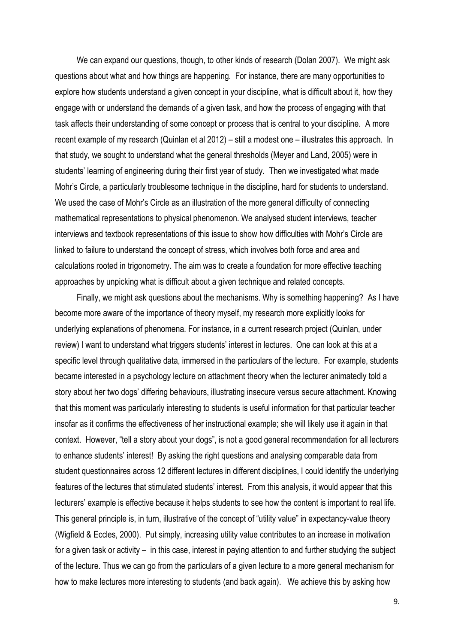We can expand our questions, though, to other kinds of research (Dolan 2007). We might ask questions about what and how things are happening. For instance, there are many opportunities to explore how students understand a given concept in your discipline, what is difficult about it, how they engage with or understand the demands of a given task, and how the process of engaging with that task affects their understanding of some concept or process that is central to your discipline. A more recent example of my research (Quinlan et al 2012) – still a modest one – illustrates this approach. In that study, we sought to understand what the general thresholds (Meyer and Land, 2005) were in students' learning of engineering during their first year of study. Then we investigated what made Mohr's Circle, a particularly troublesome technique in the discipline, hard for students to understand. We used the case of Mohr's Circle as an illustration of the more general difficulty of connecting mathematical representations to physical phenomenon. We analysed student interviews, teacher interviews and textbook representations of this issue to show how difficulties with Mohr's Circle are linked to failure to understand the concept of stress, which involves both force and area and calculations rooted in trigonometry. The aim was to create a foundation for more effective teaching approaches by unpicking what is difficult about a given technique and related concepts.

Finally, we might ask questions about the mechanisms. Why is something happening? As I have become more aware of the importance of theory myself, my research more explicitly looks for underlying explanations of phenomena. For instance, in a current research project (Quinlan, under review) I want to understand what triggers students' interest in lectures. One can look at this at a specific level through qualitative data, immersed in the particulars of the lecture. For example, students became interested in a psychology lecture on attachment theory when the lecturer animatedly told a story about her two dogs' differing behaviours, illustrating insecure versus secure attachment. Knowing that this moment was particularly interesting to students is useful information for that particular teacher insofar as it confirms the effectiveness of her instructional example; she will likely use it again in that context. However, "tell a story about your dogs", is not a good general recommendation for all lecturers to enhance students' interest! By asking the right questions and analysing comparable data from student questionnaires across 12 different lectures in different disciplines, I could identify the underlying features of the lectures that stimulated students' interest. From this analysis, it would appear that this lecturers' example is effective because it helps students to see how the content is important to real life. This general principle is, in turn, illustrative of the concept of "utility value" in expectancy-value theory (Wigfield & Eccles, 2000). Put simply, increasing utility value contributes to an increase in motivation for a given task or activity – in this case, interest in paying attention to and further studying the subject of the lecture. Thus we can go from the particulars of a given lecture to a more general mechanism for how to make lectures more interesting to students (and back again). We achieve this by asking how

9.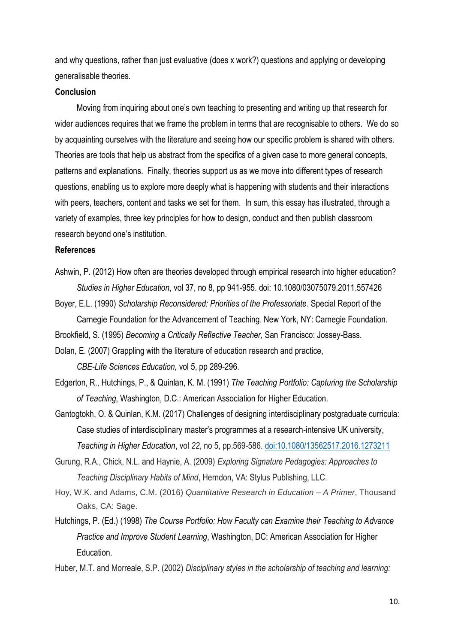and why questions, rather than just evaluative (does x work?) questions and applying or developing generalisable theories.

#### **Conclusion**

Moving from inquiring about one's own teaching to presenting and writing up that research for wider audiences requires that we frame the problem in terms that are recognisable to others. We do so by acquainting ourselves with the literature and seeing how our specific problem is shared with others. Theories are tools that help us abstract from the specifics of a given case to more general concepts, patterns and explanations. Finally, theories support us as we move into different types of research questions, enabling us to explore more deeply what is happening with students and their interactions with peers, teachers, content and tasks we set for them. In sum, this essay has illustrated, through a variety of examples, three key principles for how to design, conduct and then publish classroom research beyond one's institution.

#### **References**

Ashwin, P. (2012) How often are theories developed through empirical research into higher education? *Studies in Higher Education*, vol 37, no 8, pp 941-955. doi: 10.1080/03075079.2011.557426

Boyer, E.L. (1990) *Scholarship Reconsidered: Priorities of the Professoriate*. Special Report of the Carnegie Foundation for the Advancement of Teaching. New York, NY: Carnegie Foundation.

Brookfield, S. (1995) *Becoming a Critically Reflective Teacher*, San Francisco: Jossey-Bass.

Dolan, E. (2007) Grappling with the literature of education research and practice, *CBE-Life Sciences Education,* vol 5, pp 289-296.

- Edgerton, R., Hutchings, P., & Quinlan, K. M. (1991) *The Teaching Portfolio: Capturing the Scholarship of Teaching*, Washington, D.C.: American Association for Higher Education.
- Gantogtokh, O. & Quinlan, K.M. (2017) Challenges of designing interdisciplinary postgraduate curricula: Case studies of interdisciplinary master's programmes at a research-intensive UK university, *Teaching in Higher Education*, vol *22*, no 5, pp.569-586. [doi:10.1080/13562517.2016.1273211](http://dx.doi.org/10.1080/13562517.2016.1273211)
- Gurung, R.A., Chick, N.L. and Haynie, A. (2009) *Exploring Signature Pedagogies: Approaches to Teaching Disciplinary Habits of Mind*, Herndon, VA: Stylus Publishing, LLC.
- Hoy, W.K. and Adams, C.M. (2016) *Quantitative Research in Education – A Primer*, Thousand Oaks, CA: Sage.
- Hutchings, P. (Ed.) (1998) *The Course Portfolio: How Faculty can Examine their Teaching to Advance Practice and Improve Student Learning*, Washington, DC: American Association for Higher Education.
- Huber, M.T. and Morreale, S.P. (2002) *Disciplinary styles in the scholarship of teaching and learning:*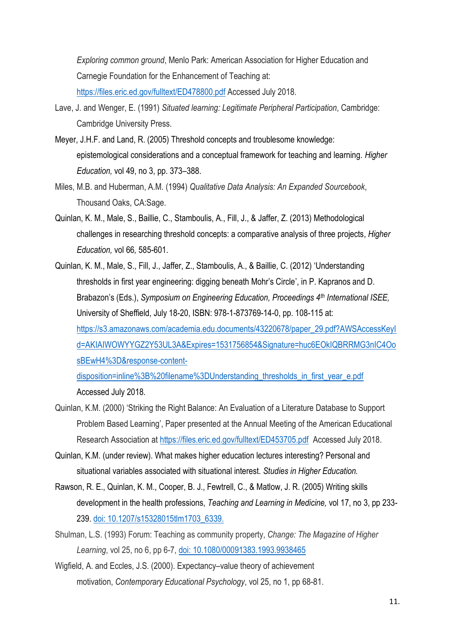*Exploring common ground*, Menlo Park: American Association for Higher Education and Carnegie Foundation for the Enhancement of Teaching at:

<https://files.eric.ed.gov/fulltext/ED478800.pdf> Accessed July 2018.

- Lave, J. and Wenger, E. (1991) *Situated learning: Legitimate Peripheral Participation*, Cambridge: Cambridge University Press.
- Meyer, J.H.F. and Land, R. (2005) Threshold concepts and troublesome knowledge: epistemological considerations and a conceptual framework for teaching and learning. *Higher Education,* vol 49, no 3, pp. 373–388.
- Miles, M.B. and Huberman, A.M. (1994) *Qualitative Data Analysis: An Expanded Sourcebook*, Thousand Oaks, CA:Sage.
- Quinlan, K. M., Male, S., Baillie, C., Stamboulis, A., Fill, J., & Jaffer, Z. (2013) Methodological challenges in researching threshold concepts: a comparative analysis of three projects, *Higher Education,* vol 66*,* 585-601.
- Quinlan, K. M., Male, S., Fill, J., Jaffer, Z., Stamboulis, A., & Baillie, C. (2012) 'Understanding thresholds in first year engineering: digging beneath Mohr's Circle', in P. Kapranos and D. Brabazon's (Eds.), *Symposium on Engineering Education, Proceedings 4th International ISEE,* University of Sheffield, July 18-20, ISBN: 978-1-873769-14-0, pp. 108-115 at: [https://s3.amazonaws.com/academia.edu.documents/43220678/paper\\_29.pdf?AWSAccessKeyI](https://s3.amazonaws.com/academia.edu.documents/43220678/paper_29.pdf?AWSAccessKeyId=AKIAIWOWYYGZ2Y53UL3A&Expires=1531756854&Signature=huc6EOkIQBRRMG3nIC4OosBEwH4%3D&response-content-disposition=inline%3B%20filename%3DUnderstanding_thresholds_in_first_year_e.pdf) [d=AKIAIWOWYYGZ2Y53UL3A&Expires=1531756854&Signature=huc6EOkIQBRRMG3nIC4Oo](https://s3.amazonaws.com/academia.edu.documents/43220678/paper_29.pdf?AWSAccessKeyId=AKIAIWOWYYGZ2Y53UL3A&Expires=1531756854&Signature=huc6EOkIQBRRMG3nIC4OosBEwH4%3D&response-content-disposition=inline%3B%20filename%3DUnderstanding_thresholds_in_first_year_e.pdf) [sBEwH4%3D&response-content](https://s3.amazonaws.com/academia.edu.documents/43220678/paper_29.pdf?AWSAccessKeyId=AKIAIWOWYYGZ2Y53UL3A&Expires=1531756854&Signature=huc6EOkIQBRRMG3nIC4OosBEwH4%3D&response-content-disposition=inline%3B%20filename%3DUnderstanding_thresholds_in_first_year_e.pdf)[disposition=inline%3B%20filename%3DUnderstanding\\_thresholds\\_in\\_first\\_year\\_e.pdf](https://s3.amazonaws.com/academia.edu.documents/43220678/paper_29.pdf?AWSAccessKeyId=AKIAIWOWYYGZ2Y53UL3A&Expires=1531756854&Signature=huc6EOkIQBRRMG3nIC4OosBEwH4%3D&response-content-disposition=inline%3B%20filename%3DUnderstanding_thresholds_in_first_year_e.pdf)

Accessed July 2018.

- Quinlan, K.M. (2000) 'Striking the Right Balance: An Evaluation of a Literature Database to Support Problem Based Learning', Paper presented at the Annual Meeting of the American Educational Research Association at <https://files.eric.ed.gov/fulltext/ED453705.pdf>Accessed July 2018.
- Quinlan, K.M. (under review). What makes higher education lectures interesting? Personal and situational variables associated with situational interest. *Studies in Higher Education.*
- Rawson, R. E., Quinlan, K. M., Cooper, B. J., Fewtrell, C., & Matlow, J. R. (2005) Writing skills development in the health professions, *Teaching and Learning in Medicine,* vol 17, no 3, pp 233- 239. [doi: 10.1207/s15328015tlm1703\\_63](http://dx.doi.org/10.1207/s15328015tlm1703_6)39.
- Shulman, L.S. (1993) Forum: Teaching as community property, *Change: The Magazine of Higher Learning*, vol 25, no 6, pp 6-7, doi: [10.1080/00091383.1993.9938465](https://doi.org/10.1080/00091383.1993.9938465)
- Wigfield, A. and Eccles, J.S. (2000). Expectancy–value theory of achievement motivation, *Contemporary Educational Psychology*, vol 25, no 1, pp 68-81.